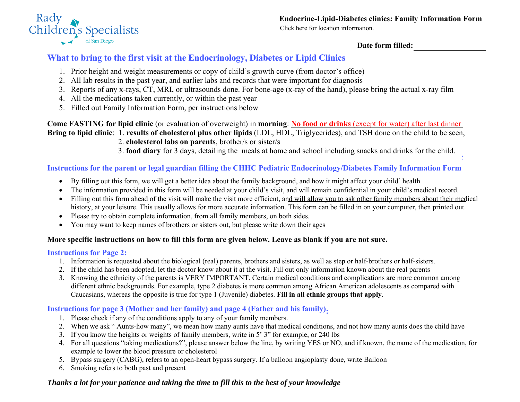

[Click here for location information.](http://www.rchsd.org/programs-services/endocrinology-diabetes/locations/)

**Date form filled:** 

:

# **What to bring to the first visit at the Endocrinology, Diabetes or Lipid Clinics**

- 1. Prior height and weight measurements or copy of child's growth curve (from doctor's office)
- 2. All lab results in the past year, and earlier labs and records that were important for diagnosis
- 3. Reports of any x-rays, CT, MRI, or ultrasounds done. For bone-age (x-ray of the hand), please bring the actual x-ray film
- 4. All the medications taken currently, or within the past year
- 5. Filled out Family Information Form, per instructions below

**Come FASTING for lipid clinic** (or evaluation of overweight) in **morning**: **No food or drinks** (except for water) after last dinner **Bring to lipid clinic**: 1. **results of cholesterol plus other lipids** (LDL, HDL, Triglycerides), and TSH done on the child to be seen,

2. **cholesterol labs on parents**, brother/s or sister/s

3. **food diary** for 3 days, detailing the meals at home and school including snacks and drinks for the child.

## **Instructions for the parent or legal guardian filling the CHHC Pediatric Endocrinology/Diabetes Family Information Form**

- By filling out this form, we will get a better idea about the family background, and how it might affect your child' health
- The information provided in this form will be needed at your child's visit, and will remain confidential in your child's medical record.
- Filling out this form ahead of the visit will make the visit more efficient, and will allow you to ask other family members about their medical history, at your leisure. This usually allows for more accurate information. This form can be filled in on your computer, then printed out.
- Please try to obtain complete information, from all family members, on both sides.
- You may want to keep names of brothers or sisters out, but please write down their ages

### **More specific instructions on how to fill this form are given below. Leave as blank if you are not sure.**

### **Instructions for Page 2:**

- 1. Information is requested about the biological (real) parents, brothers and sisters, as well as step or half-brothers or half-sisters.
- 2. If the child has been adopted, let the doctor know about it at the visit. Fill out only information known about the real parents
- 3. Knowing the ethnicity of the parents is VERY IMPORTANT. Certain medical conditions and complications are more common among different ethnic backgrounds. For example, type 2 diabetes is more common among African American adolescents as compared with Caucasians, whereas the opposite is true for type 1 (Juvenile) diabetes. **Fill in all ethnic groups that apply**.

### **Instructions for page 3 (Mother and her family) and page 4 (Father and his family):**

- 1. Please check if any of the conditions apply to any of your family members.
- 2. When we ask " Aunts-how many", we mean how many aunts have that medical conditions, and not how many aunts does the child have
- 3. If you know the heights or weights of family members, write in 5' 3" for example, or 240 lbs
- 4. For all questions "taking medications?", please answer below the line, by writing YES or NO, and if known, the name of the medication, for example to lower the blood pressure or cholesterol
- 5. Bypass surgery (CABG), refers to an open-heart bypass surgery. If a balloon angioplasty done, write Balloon
- 6. Smoking refers to both past and present

# *Thanks a lot for your patience and taking the time to fill this to the best of your knowledge*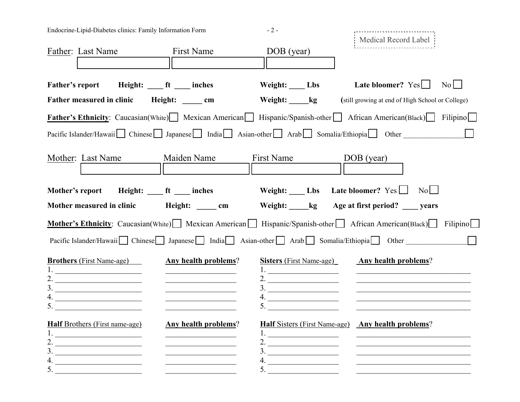| Endocrine-Lipid-Diabetes clinics: Family Information Form                                                                                                                                                                                                                                    |                                                                                                                                                           | $-2-$                                                                                     | Medical Record Label                                                                                                                                                                                        |  |  |
|----------------------------------------------------------------------------------------------------------------------------------------------------------------------------------------------------------------------------------------------------------------------------------------------|-----------------------------------------------------------------------------------------------------------------------------------------------------------|-------------------------------------------------------------------------------------------|-------------------------------------------------------------------------------------------------------------------------------------------------------------------------------------------------------------|--|--|
| Father: Last Name                                                                                                                                                                                                                                                                            | <b>First Name</b>                                                                                                                                         | DOB (year)                                                                                |                                                                                                                                                                                                             |  |  |
| <b>Father's report</b>                                                                                                                                                                                                                                                                       | Height: <u>ft</u> ___ inches                                                                                                                              | Weight: Lbs                                                                               | Late bloomer? $Yes$<br>$\overline{N_0}$                                                                                                                                                                     |  |  |
| Father measured in clinic                                                                                                                                                                                                                                                                    | Height: cm                                                                                                                                                | Weight: kg                                                                                | (still growing at end of High School or College)                                                                                                                                                            |  |  |
|                                                                                                                                                                                                                                                                                              |                                                                                                                                                           |                                                                                           | Father's Ethnicity: Caucasian(White) Mexican American Hispanic/Spanish-other African American(Black) Filipino                                                                                               |  |  |
|                                                                                                                                                                                                                                                                                              |                                                                                                                                                           |                                                                                           | Pacific Islander/Hawaii Chinese Japanese India Asian-other Arab Somalia/Ethiopia Other                                                                                                                      |  |  |
| Mother: Last Name                                                                                                                                                                                                                                                                            | Maiden Name                                                                                                                                               | First Name                                                                                | DOB (year)                                                                                                                                                                                                  |  |  |
| Mother's report                                                                                                                                                                                                                                                                              | Height: _____ ft ____ inches                                                                                                                              |                                                                                           | Weight: $\_\_$ Lbs Late bloomer? Yes<br>$\vert$ No $\vert$ $\vert$                                                                                                                                          |  |  |
| Mother measured in clinic                                                                                                                                                                                                                                                                    | Height: <u>cm</u>                                                                                                                                         |                                                                                           | Weight: _____kg Age at first period? _____ years                                                                                                                                                            |  |  |
|                                                                                                                                                                                                                                                                                              |                                                                                                                                                           |                                                                                           | Mother's Ethnicity: Caucasian(White) Mexican American Hispanic/Spanish-other African American(Black) Filipino                                                                                               |  |  |
|                                                                                                                                                                                                                                                                                              |                                                                                                                                                           |                                                                                           | Pacific Islander/Hawaii   Chinese   Japanese   India   Asian-other   Arab   Somalia/Ethiopia   Other                                                                                                        |  |  |
| <b>Brothers</b> (First Name-age)<br><u> 1980 - Johann Barn, mars eta bainar eta idazlea (</u><br><u> 1989 - Johann Barbara, martxa alemaniar a</u><br><u> 1989 - Johann Barbara, martxa alemaniar a</u><br><u> 1990 - Johann Barbara, martin a</u>                                           | <b>Any health problems?</b><br>the control of the control of the control of the control of<br><u> 1980 - Johann John Stein, market fransk politiker (</u> | <b>Sisters</b> (First Name-age)<br><u> 1989 - Johann Barbara, martxa amerikan p</u><br>5. | <b>Any health problems?</b><br><u> 2000 - Jan James James James James James James James James James James James James James James James James Ja</u><br><u> 1990 - Johann Barbara, martin amerikan basa</u> |  |  |
| <b>Half Brothers (First name-age)</b><br><u> 1989 - Johann Barn, mars ann an t-Amhain an t-Amhain an t-Amhain an t-Amhain an t-Amhain an t-Amhain an t-Amh</u><br>2.<br>3.<br><u> 1989 - Johann Barbara, martin amerikan ba</u><br>4.<br><u> 1980 - Andrea Andrew Maria (h. 1980).</u><br>5. | Any health problems?                                                                                                                                      | <u> 1990 - Johann Barbara, martin a</u><br>$\frac{3}{2}$<br>5. $\qquad \qquad$            | <b>Half Sisters (First Name-age)</b> Any health problems?                                                                                                                                                   |  |  |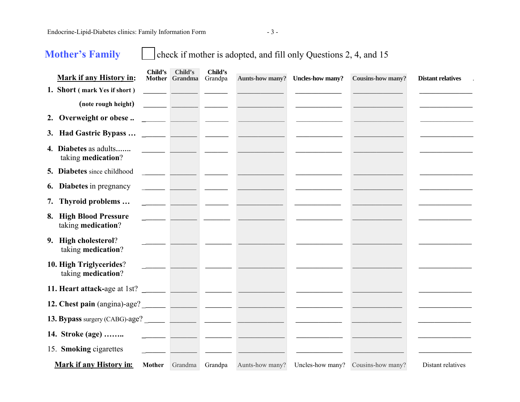Endocrine-Lipid-Diabetes clinics: Family Information Form - 3 -

**Mother's Family** check if mother is adopted, and fill only Questions 2, 4, and 15

| <b>Mark if any History in:</b>                | Child's | Child's<br>Mother Grandma                  | Child's<br>Grandpa       | <b>Aunts-how many?</b>                                                                                               | <b>Uncles-how many?</b> | <b>Cousins-how many?</b>           | <b>Distant relatives</b> |
|-----------------------------------------------|---------|--------------------------------------------|--------------------------|----------------------------------------------------------------------------------------------------------------------|-------------------------|------------------------------------|--------------------------|
| 1. Short (mark Yes if short)                  |         |                                            |                          |                                                                                                                      |                         |                                    |                          |
| (note rough height)                           |         | <u> The Common School (1989)</u>           |                          |                                                                                                                      |                         |                                    |                          |
| 2. Overweight or obese                        |         |                                            |                          | <u> De San Antonio (Carlos de San Antonio III)</u>                                                                   |                         |                                    |                          |
|                                               |         |                                            |                          |                                                                                                                      |                         |                                    |                          |
| 4. Diabetes as adults<br>taking medication?   |         |                                            |                          | <u> 1989 - John Harry Harry Barn, amerikan</u>                                                                       |                         |                                    |                          |
| 5. Diabetes since childhood                   |         | <u> 1989 - Andrea Andrew Maria Barat (</u> |                          |                                                                                                                      |                         |                                    |                          |
| <b>6.</b> Diabetes in pregnancy               |         |                                            | والمستنبذ المتسلسل ومستد |                                                                                                                      |                         |                                    |                          |
| 7. Thyroid problems                           |         |                                            |                          |                                                                                                                      |                         |                                    |                          |
| 8. High Blood Pressure<br>taking medication?  |         |                                            |                          | <u> 1989 - John Amerikaanse kommunister († 1908)</u>                                                                 |                         |                                    |                          |
| 9. High cholesterol?<br>taking medication?    |         |                                            |                          |                                                                                                                      |                         |                                    |                          |
| 10. High Triglycerides?<br>taking medication? |         |                                            |                          |                                                                                                                      |                         |                                    |                          |
|                                               |         |                                            |                          |                                                                                                                      |                         |                                    |                          |
|                                               |         |                                            |                          |                                                                                                                      |                         |                                    |                          |
|                                               |         |                                            |                          |                                                                                                                      |                         |                                    |                          |
| 14. Stroke (age)                              |         |                                            |                          | <u> 1989 - John Amerikaans van die Stadt van die Stadt van die Stadt van die Stadt van die Stadt van die Stadt v</u> |                         |                                    |                          |
| 15. Smoking cigarettes                        |         |                                            |                          |                                                                                                                      |                         |                                    |                          |
| Mark if any History in:                       |         | Mother Grandma                             | Grandpa                  | Aunts-how many?                                                                                                      |                         | Uncles-how many? Cousins-how many? | Distant relatives        |